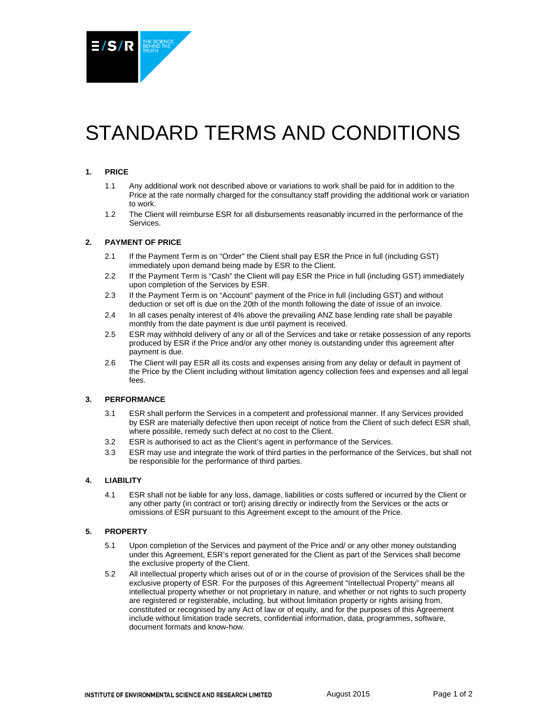

# STANDARD TERMS AND CONDITIONS

## **1. PRICE**

- 1.1 Any additional work not described above or variations to work shall be paid for in addition to the Price at the rate normally charged for the consultancy staff providing the additional work or variation to work.
- 1.2 The Client will reimburse ESR for all disbursements reasonably incurred in the performance of the Services.

## **2. PAYMENT OF PRICE**

- 2.1 If the Payment Term is on "Order" the Client shall pay ESR the Price in full (including GST) immediately upon demand being made by ESR to the Client.
- 2.2 If the Payment Term is "Cash" the Client will pay ESR the Price in full (including GST) immediately upon completion of the Services by ESR.
- 2.3 If the Payment Term is on "Account" payment of the Price in full (including GST) and without deduction or set off is due on the 20th of the month following the date of issue of an invoice.
- 2.4 In all cases penalty interest of 4% above the prevailing ANZ base lending rate shall be payable monthly from the date payment is due until payment is received.
- 2.5 ESR may withhold delivery of any or all of the Services and take or retake possession of any reports produced by ESR if the Price and/or any other money is outstanding under this agreement after payment is due.
- 2.6 The Client will pay ESR all its costs and expenses arising from any delay or default in payment of the Price by the Client including without limitation agency collection fees and expenses and all legal fees.

#### **3. PERFORMANCE**

- 3.1 ESR shall perform the Services in a competent and professional manner. If any Services provided by ESR are materially defective then upon receipt of notice from the Client of such defect ESR shall, where possible, remedy such defect at no cost to the Client.
- 3.2 ESR is authorised to act as the Client's agent in performance of the Services.
- 3.3 ESR may use and integrate the work of third parties in the performance of the Services, but shall not be responsible for the performance of third parties.

## **4. LIABILITY**

4.1 ESR shall not be liable for any loss, damage, liabilities or costs suffered or incurred by the Client or any other party (in contract or tort) arising directly or indirectly from the Services or the acts or omissions of ESR pursuant to this Agreement except to the amount of the Price.

## **5. PROPERTY**

- 5.1 Upon completion of the Services and payment of the Price and/ or any other money outstanding under this Agreement, ESR's report generated for the Client as part of the Services shall become the exclusive property of the Client.
- 5.2 All intellectual property which arises out of or in the course of provision of the Services shall be the exclusive property of ESR. For the purposes of this Agreement "Intellectual Property" means all intellectual property whether or not proprietary in nature, and whether or not rights to such property are registered or registerable, including, but without limitation property or rights arising from, constituted or recognised by any Act of law or of equity, and for the purposes of this Agreement include without limitation trade secrets, confidential information, data, programmes, software, document formats and know-how.